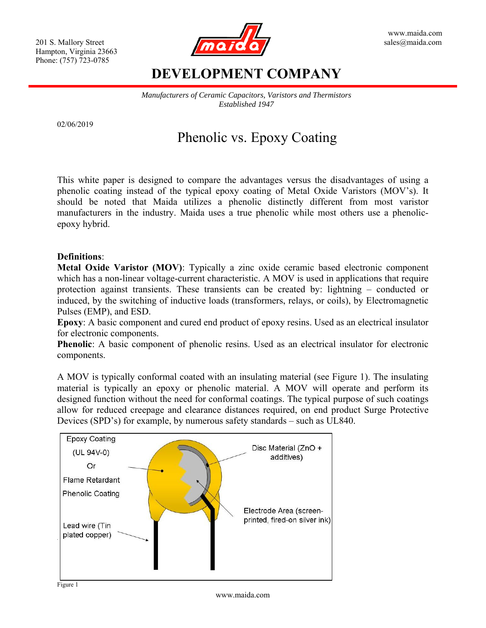

### **DEVELOPMENT COMPANY**

*Manufacturers of Ceramic Capacitors, Varistors and Thermistors Established 1947* 

02/06/2019

# Phenolic vs. Epoxy Coating

This white paper is designed to compare the advantages versus the disadvantages of using a phenolic coating instead of the typical epoxy coating of Metal Oxide Varistors (MOV's). It should be noted that Maida utilizes a phenolic distinctly different from most varistor manufacturers in the industry. Maida uses a true phenolic while most others use a phenolicepoxy hybrid.

#### **Definitions**:

**Metal Oxide Varistor (MOV)**: Typically a zinc oxide ceramic based electronic component which has a non-linear voltage-current characteristic. A MOV is used in applications that require protection against transients. These transients can be created by: lightning – conducted or induced, by the switching of inductive loads (transformers, relays, or coils), by Electromagnetic Pulses (EMP), and ESD.

**Epoxy**: A basic component and cured end product of epoxy resins. Used as an electrical insulator for electronic components.

**Phenolic**: A basic component of phenolic resins. Used as an electrical insulator for electronic components.

A MOV is typically conformal coated with an insulating material (see Figure 1). The insulating material is typically an epoxy or phenolic material. A MOV will operate and perform its designed function without the need for conformal coatings. The typical purpose of such coatings allow for reduced creepage and clearance distances required, on end product Surge Protective Devices (SPD's) for example, by numerous safety standards – such as UL840.

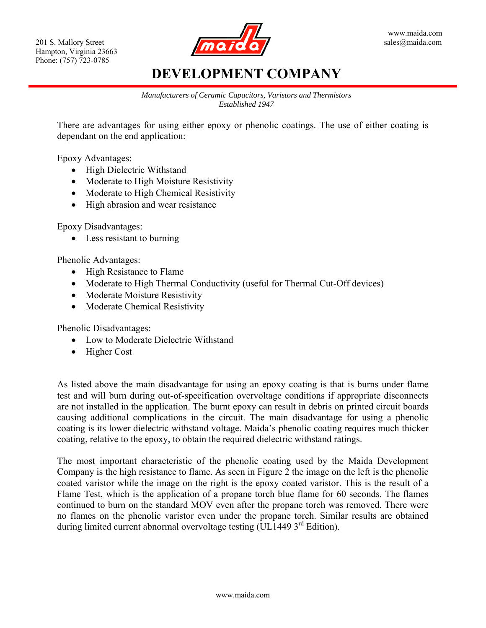

# **DEVELOPMENT COMPANY**

*Manufacturers of Ceramic Capacitors, Varistors and Thermistors Established 1947* 

There are advantages for using either epoxy or phenolic coatings. The use of either coating is dependant on the end application:

Epoxy Advantages:

- High Dielectric Withstand
- Moderate to High Moisture Resistivity
- Moderate to High Chemical Resistivity
- High abrasion and wear resistance

Epoxy Disadvantages:

• Less resistant to burning

Phenolic Advantages:

- High Resistance to Flame
- Moderate to High Thermal Conductivity (useful for Thermal Cut-Off devices)
- Moderate Moisture Resistivity
- Moderate Chemical Resistivity

Phenolic Disadvantages:

- Low to Moderate Dielectric Withstand
- Higher Cost

As listed above the main disadvantage for using an epoxy coating is that is burns under flame test and will burn during out-of-specification overvoltage conditions if appropriate disconnects are not installed in the application. The burnt epoxy can result in debris on printed circuit boards causing additional complications in the circuit. The main disadvantage for using a phenolic coating is its lower dielectric withstand voltage. Maida's phenolic coating requires much thicker coating, relative to the epoxy, to obtain the required dielectric withstand ratings.

The most important characteristic of the phenolic coating used by the Maida Development Company is the high resistance to flame. As seen in Figure 2 the image on the left is the phenolic coated varistor while the image on the right is the epoxy coated varistor. This is the result of a Flame Test, which is the application of a propane torch blue flame for 60 seconds. The flames continued to burn on the standard MOV even after the propane torch was removed. There were no flames on the phenolic varistor even under the propane torch. Similar results are obtained during limited current abnormal overvoltage testing (UL1449 3<sup>rd</sup> Edition).